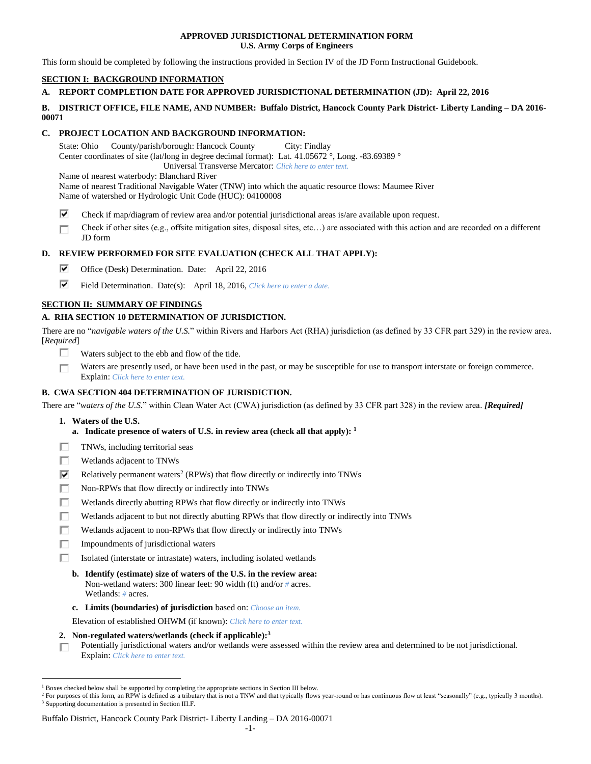## **APPROVED JURISDICTIONAL DETERMINATION FORM U.S. Army Corps of Engineers**

This form should be completed by following the instructions provided in Section IV of the JD Form Instructional Guidebook.

# **SECTION I: BACKGROUND INFORMATION**

# **A. REPORT COMPLETION DATE FOR APPROVED JURISDICTIONAL DETERMINATION (JD): April 22, 2016**

## **B. DISTRICT OFFICE, FILE NAME, AND NUMBER: Buffalo District, Hancock County Park District- Liberty Landing – DA 2016- 00071**

# **C. PROJECT LOCATION AND BACKGROUND INFORMATION:**

State: Ohio County/parish/borough: Hancock County City: Findlay Center coordinates of site (lat/long in degree decimal format): Lat. 41.05672 °, Long. -83.69389 ° Universal Transverse Mercator: *Click here to enter text.*

Name of nearest waterbody: Blanchard River

Name of nearest Traditional Navigable Water (TNW) into which the aquatic resource flows: Maumee River Name of watershed or Hydrologic Unit Code (HUC): 04100008

- ⊽ Check if map/diagram of review area and/or potential jurisdictional areas is/are available upon request.
- Check if other sites (e.g., offsite mitigation sites, disposal sites, etc…) are associated with this action and are recorded on a different П JD form

# **D. REVIEW PERFORMED FOR SITE EVALUATION (CHECK ALL THAT APPLY):**

- ⊽ Office (Desk) Determination. Date: April 22, 2016
- ⊽ Field Determination. Date(s): April 18, 2016, *Click here to enter a date.*

# **SECTION II: SUMMARY OF FINDINGS**

# **A. RHA SECTION 10 DETERMINATION OF JURISDICTION.**

There are no "*navigable waters of the U.S.*" within Rivers and Harbors Act (RHA) jurisdiction (as defined by 33 CFR part 329) in the review area. [*Required*]

- п Waters subject to the ebb and flow of the tide.
- Waters are presently used, or have been used in the past, or may be susceptible for use to transport interstate or foreign commerce. П Explain: *Click here to enter text.*

# **B. CWA SECTION 404 DETERMINATION OF JURISDICTION.**

There are "*waters of the U.S.*" within Clean Water Act (CWA) jurisdiction (as defined by 33 CFR part 328) in the review area. *[Required]*

**1. Waters of the U.S.**

 $\overline{a}$ 

- **a. Indicate presence of waters of U.S. in review area (check all that apply): 1**
- П TNWs, including territorial seas
- П Wetlands adjacent to TNWs
- ⊽ Relatively permanent waters<sup>2</sup> (RPWs) that flow directly or indirectly into TNWs
- п Non-RPWs that flow directly or indirectly into TNWs
- Wetlands directly abutting RPWs that flow directly or indirectly into TNWs п
- г Wetlands adjacent to but not directly abutting RPWs that flow directly or indirectly into TNWs
- п Wetlands adjacent to non-RPWs that flow directly or indirectly into TNWs
- П. Impoundments of jurisdictional waters
- Isolated (interstate or intrastate) waters, including isolated wetlands п.
	- **b. Identify (estimate) size of waters of the U.S. in the review area:** Non-wetland waters: 300 linear feet: 90 width (ft) and/or *#* acres. Wetlands: *#* acres.
	- **c. Limits (boundaries) of jurisdiction** based on: *Choose an item.*

Elevation of established OHWM (if known): *Click here to enter text.*

**2. Non-regulated waters/wetlands (check if applicable): 3**

Potentially jurisdictional waters and/or wetlands were assessed within the review area and determined to be not jurisdictional. П. Explain: *Click here to enter text.*

## Buffalo District, Hancock County Park District- Liberty Landing – DA 2016-00071

<sup>1</sup> Boxes checked below shall be supported by completing the appropriate sections in Section III below.

<sup>&</sup>lt;sup>2</sup> For purposes of this form, an RPW is defined as a tributary that is not a TNW and that typically flows year-round or has continuous flow at least "seasonally" (e.g., typically 3 months). <sup>3</sup> Supporting documentation is presented in Section III.F.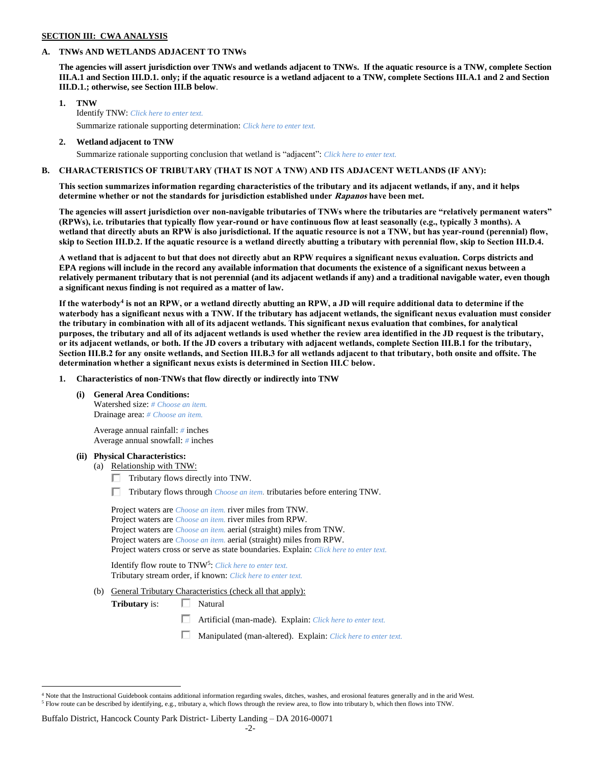## **SECTION III: CWA ANALYSIS**

## **A. TNWs AND WETLANDS ADJACENT TO TNWs**

**The agencies will assert jurisdiction over TNWs and wetlands adjacent to TNWs. If the aquatic resource is a TNW, complete Section III.A.1 and Section III.D.1. only; if the aquatic resource is a wetland adjacent to a TNW, complete Sections III.A.1 and 2 and Section III.D.1.; otherwise, see Section III.B below**.

- **1. TNW**  Identify TNW: *Click here to enter text.* Summarize rationale supporting determination: *Click here to enter text.*
- **2. Wetland adjacent to TNW**

# Summarize rationale supporting conclusion that wetland is "adjacent": *Click here to enter text.*

# **B. CHARACTERISTICS OF TRIBUTARY (THAT IS NOT A TNW) AND ITS ADJACENT WETLANDS (IF ANY):**

**This section summarizes information regarding characteristics of the tributary and its adjacent wetlands, if any, and it helps determine whether or not the standards for jurisdiction established under Rapanos have been met.** 

**The agencies will assert jurisdiction over non-navigable tributaries of TNWs where the tributaries are "relatively permanent waters" (RPWs), i.e. tributaries that typically flow year-round or have continuous flow at least seasonally (e.g., typically 3 months). A wetland that directly abuts an RPW is also jurisdictional. If the aquatic resource is not a TNW, but has year-round (perennial) flow, skip to Section III.D.2. If the aquatic resource is a wetland directly abutting a tributary with perennial flow, skip to Section III.D.4.**

**A wetland that is adjacent to but that does not directly abut an RPW requires a significant nexus evaluation. Corps districts and EPA regions will include in the record any available information that documents the existence of a significant nexus between a relatively permanent tributary that is not perennial (and its adjacent wetlands if any) and a traditional navigable water, even though a significant nexus finding is not required as a matter of law.**

**If the waterbody<sup>4</sup> is not an RPW, or a wetland directly abutting an RPW, a JD will require additional data to determine if the waterbody has a significant nexus with a TNW. If the tributary has adjacent wetlands, the significant nexus evaluation must consider the tributary in combination with all of its adjacent wetlands. This significant nexus evaluation that combines, for analytical purposes, the tributary and all of its adjacent wetlands is used whether the review area identified in the JD request is the tributary, or its adjacent wetlands, or both. If the JD covers a tributary with adjacent wetlands, complete Section III.B.1 for the tributary, Section III.B.2 for any onsite wetlands, and Section III.B.3 for all wetlands adjacent to that tributary, both onsite and offsite. The determination whether a significant nexus exists is determined in Section III.C below.**

**1. Characteristics of non-TNWs that flow directly or indirectly into TNW**

**(i) General Area Conditions:**

Watershed size: *# Choose an item.* Drainage area: *# Choose an item.*

Average annual rainfall: *#* inches Average annual snowfall: *#* inches

## **(ii) Physical Characteristics:**

 $\overline{a}$ 

- (a) Relationship with TNW:
	- $\Box$  Tributary flows directly into TNW.
	- Tributary flows through *Choose an item.* tributaries before entering TNW.

| Project waters are <i>Choose an item</i> , river miles from TNW.                      |  |
|---------------------------------------------------------------------------------------|--|
| Project waters are <i>Choose an item</i> , river miles from RPW.                      |  |
| Project waters are <i>Choose an item.</i> aerial (straight) miles from TNW.           |  |
| Project waters are <i>Choose an item.</i> aerial (straight) miles from RPW.           |  |
| Project waters cross or serve as state boundaries. Explain: Click here to enter text. |  |

Identify flow route to TNW<sup>5</sup>: Click here to enter text. Tributary stream order, if known: *Click here to enter text.*

(b) General Tributary Characteristics (check all that apply):

**Tributary** is: □ Natural

- $\Box$ Artificial (man-made). Explain: *Click here to enter text.*
- П. Manipulated (man-altered). Explain: *Click here to enter text.*

## Buffalo District, Hancock County Park District- Liberty Landing – DA 2016-00071

 $4$  Note that the Instructional Guidebook contains additional information regarding swales, ditches, washes, and erosional features generally and in the arid West. <sup>5</sup> Flow route can be described by identifying, e.g., tributary a, which flows through the review area, to flow into tributary b, which then flows into TNW.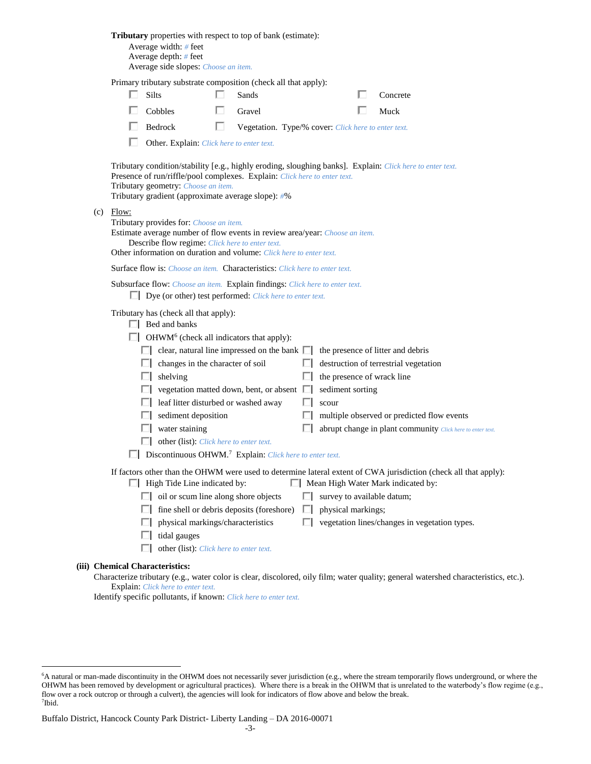|                                                               |                                                                                                                                                                                                      | Average width: # feet<br>Average depth: $#$ feet<br>Average side slopes: Choose an item.   |   | <b>Tributary</b> properties with respect to top of bank (estimate):                                                                                    |        |                            |  |                                                                                                                                     |  |  |  |
|---------------------------------------------------------------|------------------------------------------------------------------------------------------------------------------------------------------------------------------------------------------------------|--------------------------------------------------------------------------------------------|---|--------------------------------------------------------------------------------------------------------------------------------------------------------|--------|----------------------------|--|-------------------------------------------------------------------------------------------------------------------------------------|--|--|--|
|                                                               |                                                                                                                                                                                                      |                                                                                            |   | Primary tributary substrate composition (check all that apply):                                                                                        |        |                            |  |                                                                                                                                     |  |  |  |
|                                                               |                                                                                                                                                                                                      | Silts                                                                                      |   | Sands                                                                                                                                                  |        |                            |  | Concrete                                                                                                                            |  |  |  |
|                                                               |                                                                                                                                                                                                      | Cobbles                                                                                    |   | Gravel                                                                                                                                                 |        |                            |  | Muck                                                                                                                                |  |  |  |
|                                                               |                                                                                                                                                                                                      | Bedrock                                                                                    | ш | Vegetation. Type/% cover: Click here to enter text.                                                                                                    |        |                            |  |                                                                                                                                     |  |  |  |
|                                                               |                                                                                                                                                                                                      | Other. Explain: Click here to enter text.                                                  |   |                                                                                                                                                        |        |                            |  |                                                                                                                                     |  |  |  |
|                                                               |                                                                                                                                                                                                      | Tributary geometry: Choose an item.<br>Tributary gradient (approximate average slope): #%  |   | Presence of run/riffle/pool complexes. Explain: Click here to enter text.                                                                              |        |                            |  | Tributary condition/stability [e.g., highly eroding, sloughing banks]. Explain: Click here to enter text.                           |  |  |  |
|                                                               | $(c)$ Flow:                                                                                                                                                                                          | Tributary provides for: Choose an item.<br>Describe flow regime: Click here to enter text. |   | Estimate average number of flow events in review area/year: Choose an item.<br>Other information on duration and volume: Click here to enter text.     |        |                            |  |                                                                                                                                     |  |  |  |
|                                                               |                                                                                                                                                                                                      |                                                                                            |   | <b>Surface flow is:</b> <i>Choose an item.</i> <b>Characteristics:</b> <i>Click here to enter text.</i>                                                |        |                            |  |                                                                                                                                     |  |  |  |
|                                                               |                                                                                                                                                                                                      |                                                                                            |   | Subsurface flow: Choose an item. Explain findings: Click here to enter text.<br>$\Box$ Dye (or other) test performed: <i>Click here to enter text.</i> |        |                            |  |                                                                                                                                     |  |  |  |
| Tributary has (check all that apply):<br>$\Box$ Bed and banks |                                                                                                                                                                                                      |                                                                                            |   |                                                                                                                                                        |        |                            |  |                                                                                                                                     |  |  |  |
|                                                               |                                                                                                                                                                                                      | $\Box$ OHWM <sup>6</sup> (check all indicators that apply):                                |   |                                                                                                                                                        |        |                            |  |                                                                                                                                     |  |  |  |
|                                                               |                                                                                                                                                                                                      |                                                                                            |   | $\Box$ clear, natural line impressed on the bank $\Box$                                                                                                |        |                            |  | the presence of litter and debris                                                                                                   |  |  |  |
|                                                               |                                                                                                                                                                                                      | $\Box$ changes in the character of soil                                                    |   |                                                                                                                                                        | ш      |                            |  | destruction of terrestrial vegetation                                                                                               |  |  |  |
|                                                               | U.                                                                                                                                                                                                   | shelving                                                                                   |   |                                                                                                                                                        | ш      | the presence of wrack line |  |                                                                                                                                     |  |  |  |
|                                                               |                                                                                                                                                                                                      | leaf litter disturbed or washed away                                                       |   | vegetation matted down, bent, or absent                                                                                                                | Ш<br>ш | sediment sorting<br>scour  |  |                                                                                                                                     |  |  |  |
|                                                               |                                                                                                                                                                                                      | sediment deposition                                                                        |   |                                                                                                                                                        |        |                            |  | multiple observed or predicted flow events                                                                                          |  |  |  |
|                                                               |                                                                                                                                                                                                      | water staining                                                                             |   |                                                                                                                                                        |        |                            |  | abrupt change in plant community Click here to enter text.                                                                          |  |  |  |
|                                                               |                                                                                                                                                                                                      | other (list): Click here to enter text.                                                    |   |                                                                                                                                                        |        |                            |  |                                                                                                                                     |  |  |  |
|                                                               |                                                                                                                                                                                                      | $\Box$ Discontinuous OHWM. <sup>7</sup> Explain: Click here to enter text.                 |   |                                                                                                                                                        |        |                            |  |                                                                                                                                     |  |  |  |
|                                                               | If factors other than the OHWM were used to determine lateral extent of CWA jurisdiction (check all that apply):<br>$\Box$ High Tide Line indicated by:<br>$\Box$ Mean High Water Mark indicated by: |                                                                                            |   |                                                                                                                                                        |        |                            |  |                                                                                                                                     |  |  |  |
|                                                               |                                                                                                                                                                                                      | $\Box$ oil or scum line along shore objects                                                |   |                                                                                                                                                        | ш      | survey to available datum; |  |                                                                                                                                     |  |  |  |
|                                                               | ш                                                                                                                                                                                                    |                                                                                            |   | fine shell or debris deposits (foreshore)                                                                                                              | ш      | physical markings;         |  |                                                                                                                                     |  |  |  |
|                                                               | ш                                                                                                                                                                                                    | physical markings/characteristics                                                          |   |                                                                                                                                                        | П      |                            |  | vegetation lines/changes in vegetation types.                                                                                       |  |  |  |
|                                                               | L.                                                                                                                                                                                                   | tidal gauges                                                                               |   |                                                                                                                                                        |        |                            |  |                                                                                                                                     |  |  |  |
|                                                               |                                                                                                                                                                                                      | other (list): Click here to enter text.                                                    |   |                                                                                                                                                        |        |                            |  |                                                                                                                                     |  |  |  |
|                                                               | <b>Chemical Characteristics:</b>                                                                                                                                                                     |                                                                                            |   |                                                                                                                                                        |        |                            |  | Characterize tributary (e.g., water color is clear, discolored, oily film; water quality; general watershed characteristics, etc.). |  |  |  |

Explain: *Click here to enter text.*

**(iii)** 

 $\overline{a}$ 

Identify specific pollutants, if known: *Click here to enter text.*

<sup>6</sup>A natural or man-made discontinuity in the OHWM does not necessarily sever jurisdiction (e.g., where the stream temporarily flows underground, or where the OHWM has been removed by development or agricultural practices). Where there is a break in the OHWM that is unrelated to the waterbody's flow regime (e.g., flow over a rock outcrop or through a culvert), the agencies will look for indicators of flow above and below the break. 7 Ibid.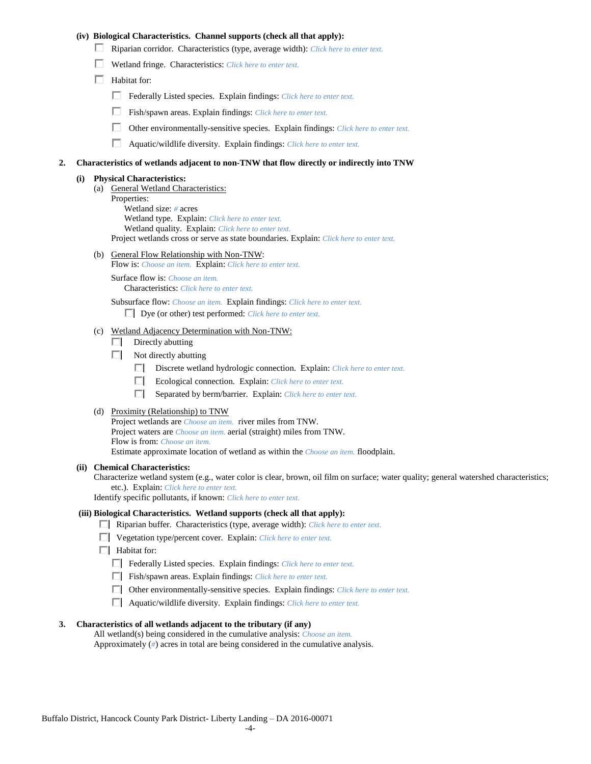## **(iv) Biological Characteristics. Channel supports (check all that apply):**

- Riparian corridor. Characteristics (type, average width): *Click here to enter text.*
- Wetland fringe. Characteristics: *Click here to enter text.*
- $\Box$  Habitat for:
	- Federally Listed species. Explain findings: *Click here to enter text.*
	- Fish/spawn areas. Explain findings: *Click here to enter text.*
	- П. Other environmentally-sensitive species. Explain findings: *Click here to enter text.*
	- П. Aquatic/wildlife diversity. Explain findings: *Click here to enter text.*

#### **2. Characteristics of wetlands adjacent to non-TNW that flow directly or indirectly into TNW**

#### **(i) Physical Characteristics:**

- (a) General Wetland Characteristics:
	- Properties:

Wetland size: *#* acres Wetland type. Explain: *Click here to enter text.*

Wetland quality. Explain: *Click here to enter text.*

Project wetlands cross or serve as state boundaries. Explain: *Click here to enter text.*

(b) General Flow Relationship with Non-TNW: Flow is: *Choose an item.* Explain: *Click here to enter text.*

Surface flow is: *Choose an item.* Characteristics: *Click here to enter text.*

Subsurface flow: *Choose an item.* Explain findings: *Click here to enter text.*

Dye (or other) test performed: *Click here to enter text.*

#### (c) Wetland Adjacency Determination with Non-TNW:

- $\Box$  Directly abutting
- Not directly abutting
	- Discrete wetland hydrologic connection. Explain: *Click here to enter text.*
	- $\Box$ Ecological connection. Explain: *Click here to enter text.*
	- $\Box$ Separated by berm/barrier. Explain: *Click here to enter text.*
- (d) Proximity (Relationship) to TNW

Project wetlands are *Choose an item.* river miles from TNW. Project waters are *Choose an item.* aerial (straight) miles from TNW. Flow is from: *Choose an item.* Estimate approximate location of wetland as within the *Choose an item.* floodplain.

#### **(ii) Chemical Characteristics:**

Characterize wetland system (e.g., water color is clear, brown, oil film on surface; water quality; general watershed characteristics; etc.). Explain: *Click here to enter text.*

Identify specific pollutants, if known: *Click here to enter text.*

### **(iii) Biological Characteristics. Wetland supports (check all that apply):**

- Riparian buffer. Characteristics (type, average width): *Click here to enter text.*
- Vegetation type/percent cover. Explain: *Click here to enter text.*
- $\Box$  Habitat for:
	- Federally Listed species. Explain findings: *Click here to enter text*.
	- Fish/spawn areas. Explain findings: *Click here to enter text*.
	- Other environmentally-sensitive species. Explain findings: *Click here to enter text.*
	- Aquatic/wildlife diversity. Explain findings: *Click here to enter text.*

## **3. Characteristics of all wetlands adjacent to the tributary (if any)**

All wetland(s) being considered in the cumulative analysis: *Choose an item.* Approximately (*#*) acres in total are being considered in the cumulative analysis.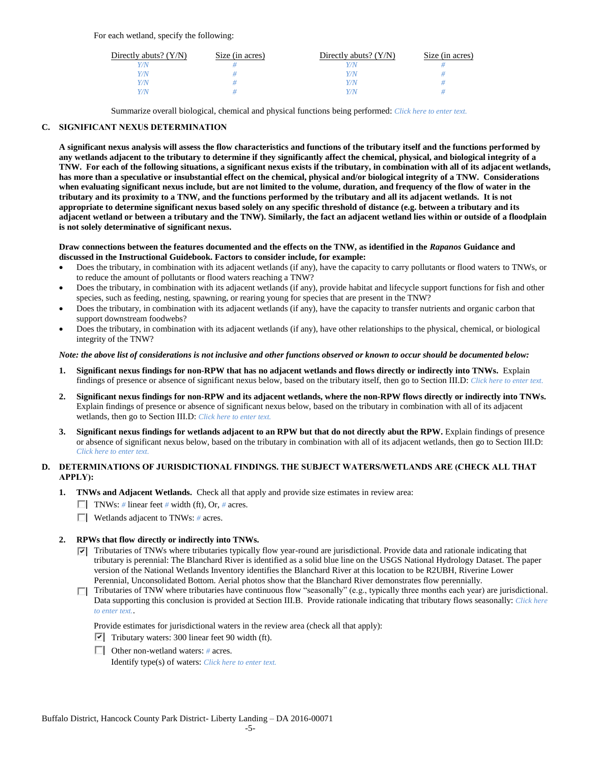For each wetland, specify the following:

| Directly abuts? $(Y/N)$ | Size (in acres) | Directly abuts? $(Y/N)$ | Size (in acres) |
|-------------------------|-----------------|-------------------------|-----------------|
|                         |                 |                         |                 |
| Y/N                     |                 | Y/N                     |                 |
| 77N                     |                 | Y/N                     |                 |
|                         |                 | 77N                     |                 |

Summarize overall biological, chemical and physical functions being performed: *Click here to enter text.*

# **C. SIGNIFICANT NEXUS DETERMINATION**

**A significant nexus analysis will assess the flow characteristics and functions of the tributary itself and the functions performed by any wetlands adjacent to the tributary to determine if they significantly affect the chemical, physical, and biological integrity of a TNW. For each of the following situations, a significant nexus exists if the tributary, in combination with all of its adjacent wetlands, has more than a speculative or insubstantial effect on the chemical, physical and/or biological integrity of a TNW. Considerations when evaluating significant nexus include, but are not limited to the volume, duration, and frequency of the flow of water in the tributary and its proximity to a TNW, and the functions performed by the tributary and all its adjacent wetlands. It is not appropriate to determine significant nexus based solely on any specific threshold of distance (e.g. between a tributary and its adjacent wetland or between a tributary and the TNW). Similarly, the fact an adjacent wetland lies within or outside of a floodplain is not solely determinative of significant nexus.** 

## **Draw connections between the features documented and the effects on the TNW, as identified in the** *Rapanos* **Guidance and discussed in the Instructional Guidebook. Factors to consider include, for example:**

- Does the tributary, in combination with its adjacent wetlands (if any), have the capacity to carry pollutants or flood waters to TNWs, or to reduce the amount of pollutants or flood waters reaching a TNW?
- Does the tributary, in combination with its adjacent wetlands (if any), provide habitat and lifecycle support functions for fish and other species, such as feeding, nesting, spawning, or rearing young for species that are present in the TNW?
- Does the tributary, in combination with its adjacent wetlands (if any), have the capacity to transfer nutrients and organic carbon that support downstream foodwebs?
- Does the tributary, in combination with its adjacent wetlands (if any), have other relationships to the physical, chemical, or biological integrity of the TNW?

## *Note: the above list of considerations is not inclusive and other functions observed or known to occur should be documented below:*

- **1. Significant nexus findings for non-RPW that has no adjacent wetlands and flows directly or indirectly into TNWs.** Explain findings of presence or absence of significant nexus below, based on the tributary itself, then go to Section III.D: *Click here to enter text.*
- **2. Significant nexus findings for non-RPW and its adjacent wetlands, where the non-RPW flows directly or indirectly into TNWs.**  Explain findings of presence or absence of significant nexus below, based on the tributary in combination with all of its adjacent wetlands, then go to Section III.D: *Click here to enter text.*
- **3. Significant nexus findings for wetlands adjacent to an RPW but that do not directly abut the RPW.** Explain findings of presence or absence of significant nexus below, based on the tributary in combination with all of its adjacent wetlands, then go to Section III.D: *Click here to enter text.*

# **D. DETERMINATIONS OF JURISDICTIONAL FINDINGS. THE SUBJECT WATERS/WETLANDS ARE (CHECK ALL THAT APPLY):**

- **1. TNWs and Adjacent Wetlands.** Check all that apply and provide size estimates in review area:
	- TNWs: *#* linear feet *#* width (ft), Or, *#* acres.
	- Wetlands adjacent to TNWs: *#* acres.

# **2. RPWs that flow directly or indirectly into TNWs.**

- $\nabla$  Tributaries of TNWs where tributaries typically flow year-round are jurisdictional. Provide data and rationale indicating that tributary is perennial: The Blanchard River is identified as a solid blue line on the USGS National Hydrology Dataset. The paper version of the National Wetlands Inventory identifies the Blanchard River at this location to be R2UBH, Riverine Lower Perennial, Unconsolidated Bottom. Aerial photos show that the Blanchard River demonstrates flow perennially.
- $\Box$  Tributaries of TNW where tributaries have continuous flow "seasonally" (e.g., typically three months each year) are jurisdictional. Data supporting this conclusion is provided at Section III.B. Provide rationale indicating that tributary flows seasonally: *Click here to enter text.*.

Provide estimates for jurisdictional waters in the review area (check all that apply):

- $\triangledown$  Tributary waters: 300 linear feet 90 width (ft).
- Other non-wetland waters: *#* acres. Identify type(s) of waters: *Click here to enter text.*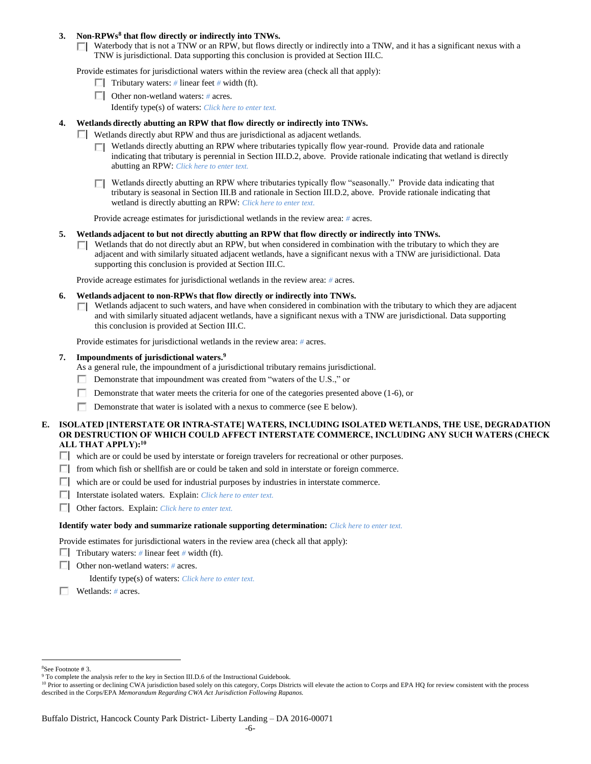## **3. Non-RPWs<sup>8</sup> that flow directly or indirectly into TNWs.**

 $\Box$  Waterbody that is not a TNW or an RPW, but flows directly or indirectly into a TNW, and it has a significant nexus with a TNW is jurisdictional. Data supporting this conclusion is provided at Section III.C.

Provide estimates for jurisdictional waters within the review area (check all that apply):

- **Tributary waters:** # linear feet # width (ft).
- Other non-wetland waters: *#* acres.
	- Identify type(s) of waters: *Click here to enter text.*

## **4. Wetlands directly abutting an RPW that flow directly or indirectly into TNWs.**

- Wetlands directly abut RPW and thus are jurisdictional as adjacent wetlands.
	- $\Box$  Wetlands directly abutting an RPW where tributaries typically flow year-round. Provide data and rationale indicating that tributary is perennial in Section III.D.2, above. Provide rationale indicating that wetland is directly abutting an RPW: *Click here to enter text.*
	- $\Box$  Wetlands directly abutting an RPW where tributaries typically flow "seasonally." Provide data indicating that tributary is seasonal in Section III.B and rationale in Section III.D.2, above. Provide rationale indicating that wetland is directly abutting an RPW: *Click here to enter text.*

Provide acreage estimates for jurisdictional wetlands in the review area: *#* acres.

- **5. Wetlands adjacent to but not directly abutting an RPW that flow directly or indirectly into TNWs.**
	- $\Box$  Wetlands that do not directly abut an RPW, but when considered in combination with the tributary to which they are adjacent and with similarly situated adjacent wetlands, have a significant nexus with a TNW are jurisidictional. Data supporting this conclusion is provided at Section III.C.

Provide acreage estimates for jurisdictional wetlands in the review area: *#* acres.

- **6. Wetlands adjacent to non-RPWs that flow directly or indirectly into TNWs.** 
	- $\Box$  Wetlands adjacent to such waters, and have when considered in combination with the tributary to which they are adjacent and with similarly situated adjacent wetlands, have a significant nexus with a TNW are jurisdictional. Data supporting this conclusion is provided at Section III.C.

Provide estimates for jurisdictional wetlands in the review area: *#* acres.

## **7. Impoundments of jurisdictional waters. 9**

As a general rule, the impoundment of a jurisdictional tributary remains jurisdictional.

- Demonstrate that impoundment was created from "waters of the U.S.," or
- Demonstrate that water meets the criteria for one of the categories presented above (1-6), or
- П. Demonstrate that water is isolated with a nexus to commerce (see E below).
- **E. ISOLATED [INTERSTATE OR INTRA-STATE] WATERS, INCLUDING ISOLATED WETLANDS, THE USE, DEGRADATION OR DESTRUCTION OF WHICH COULD AFFECT INTERSTATE COMMERCE, INCLUDING ANY SUCH WATERS (CHECK ALL THAT APPLY):<sup>10</sup>**
	- which are or could be used by interstate or foreign travelers for recreational or other purposes.
	- $\Box$  from which fish or shellfish are or could be taken and sold in interstate or foreign commerce.
	- $\Box$  which are or could be used for industrial purposes by industries in interstate commerce.
	- Interstate isolated waters.Explain: *Click here to enter text.*
	- Other factors.Explain: *Click here to enter text.*

#### **Identify water body and summarize rationale supporting determination:** *Click here to enter text.*

Provide estimates for jurisdictional waters in the review area (check all that apply):

- Tributary waters:  $\#$  linear feet  $\#$  width (ft).
- Other non-wetland waters: *#* acres.

Identify type(s) of waters: *Click here to enter text.*

Wetlands: *#* acres.

 $\overline{a}$ <sup>8</sup>See Footnote # 3.

<sup>&</sup>lt;sup>9</sup> To complete the analysis refer to the key in Section III.D.6 of the Instructional Guidebook.

<sup>&</sup>lt;sup>10</sup> Prior to asserting or declining CWA jurisdiction based solely on this category, Corps Districts will elevate the action to Corps and EPA HQ for review consistent with the process described in the Corps/EPA *Memorandum Regarding CWA Act Jurisdiction Following Rapanos.*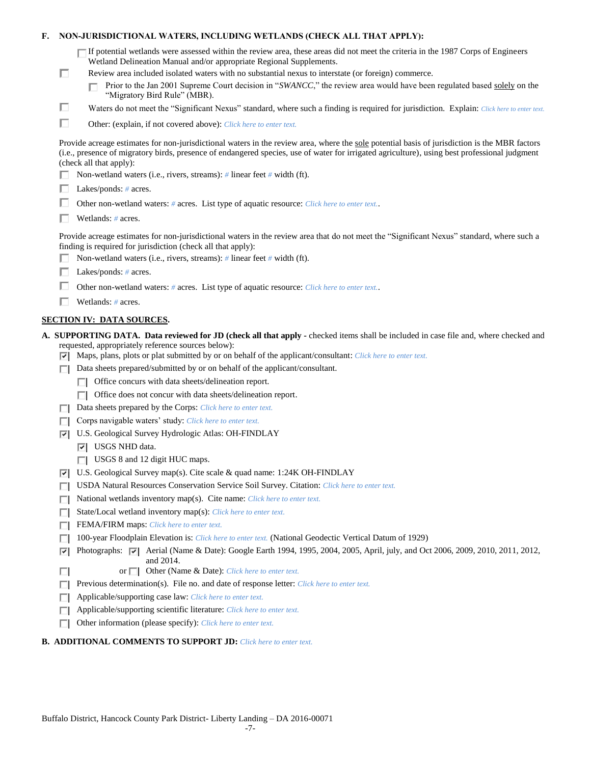| F. |   | NON-JURISDICTIONAL WATERS, INCLUDING WETLANDS (CHECK ALL THAT APPLY):                                                                                                                                                                                                                                                     |
|----|---|---------------------------------------------------------------------------------------------------------------------------------------------------------------------------------------------------------------------------------------------------------------------------------------------------------------------------|
|    |   | $\Box$ If potential wetlands were assessed within the review area, these areas did not meet the criteria in the 1987 Corps of Engineers<br>Wetland Delineation Manual and/or appropriate Regional Supplements.                                                                                                            |
|    | п | Review area included isolated waters with no substantial nexus to interstate (or foreign) commerce.<br>Prior to the Jan 2001 Supreme Court decision in "SWANCC," the review area would have been regulated based solely on the<br>"Migratory Bird Rule" (MBR).                                                            |
|    | □ | Waters do not meet the "Significant Nexus" standard, where such a finding is required for jurisdiction. Explain: Click here to enter text.                                                                                                                                                                                |
|    | □ | Other: (explain, if not covered above): Click here to enter text.                                                                                                                                                                                                                                                         |
|    |   |                                                                                                                                                                                                                                                                                                                           |
|    |   | Provide acreage estimates for non-jurisdictional waters in the review area, where the sole potential basis of jurisdiction is the MBR factors<br>(i.e., presence of migratory birds, presence of endangered species, use of water for irrigated agriculture), using best professional judgment<br>(check all that apply): |
|    |   | Non-wetland waters (i.e., rivers, streams): # linear feet # width (ft).                                                                                                                                                                                                                                                   |
|    |   | Lakes/ponds: $# \, \text{acres.}$                                                                                                                                                                                                                                                                                         |
|    |   | Other non-wetland waters: # acres. List type of aquatic resource: Click here to enter text                                                                                                                                                                                                                                |
|    |   | Wetlands: $#$ acres.                                                                                                                                                                                                                                                                                                      |
|    |   | Provide acreage estimates for non-jurisdictional waters in the review area that do not meet the "Significant Nexus" standard, where such a<br>finding is required for jurisdiction (check all that apply):                                                                                                                |
|    |   | Non-wetland waters (i.e., rivers, streams): $\#$ linear feet $\#$ width (ft).                                                                                                                                                                                                                                             |
|    |   | Lakes/ponds: $# \, \text{acres.}$                                                                                                                                                                                                                                                                                         |
|    |   | Other non-wetland waters: # acres. List type of aquatic resource: Click here to enter text                                                                                                                                                                                                                                |
|    |   | Wetlands: $#$ acres.                                                                                                                                                                                                                                                                                                      |
|    |   | <b>SECTION IV: DATA SOURCES.</b>                                                                                                                                                                                                                                                                                          |
|    | 罓 | A. SUPPORTING DATA. Data reviewed for JD (check all that apply - checked items shall be included in case file and, where checked and<br>requested, appropriately reference sources below):<br>Maps, plans, plots or plat submitted by or on behalf of the applicant/consultant: Click here to enter text.                 |
|    |   | Data sheets prepared/submitted by or on behalf of the applicant/consultant.                                                                                                                                                                                                                                               |
|    |   | Office concurs with data sheets/delineation report.                                                                                                                                                                                                                                                                       |
|    |   | Office does not concur with data sheets/delineation report.                                                                                                                                                                                                                                                               |
|    |   | Data sheets prepared by the Corps: Click here to enter text.                                                                                                                                                                                                                                                              |
|    |   | Corps navigable waters' study: Click here to enter text.                                                                                                                                                                                                                                                                  |
|    | 罓 | U.S. Geological Survey Hydrologic Atlas: OH-FINDLAY                                                                                                                                                                                                                                                                       |
|    |   | $ \overline{v} $ USGS NHD data.                                                                                                                                                                                                                                                                                           |
|    |   | USGS 8 and 12 digit HUC maps.                                                                                                                                                                                                                                                                                             |
|    | 罓 | U.S. Geological Survey map(s). Cite scale & quad name: 1:24K OH-FINDLAY                                                                                                                                                                                                                                                   |
|    |   | USDA Natural Resources Conservation Service Soil Survey. Citation: Click here to enter text.                                                                                                                                                                                                                              |
|    | Е | National wetlands inventory map(s). Cite name: Click here to enter text.                                                                                                                                                                                                                                                  |
|    | Е | State/Local wetland inventory map(s): Click here to enter text.                                                                                                                                                                                                                                                           |
|    | п | FEMA/FIRM maps: Click here to enter text.                                                                                                                                                                                                                                                                                 |
|    |   | 100-year Floodplain Elevation is: Click here to enter text. (National Geodectic Vertical Datum of 1929)                                                                                                                                                                                                                   |
|    | ⊽ | Photographs: $\overline{v}$ Aerial (Name & Date): Google Earth 1994, 1995, 2004, 2005, April, july, and Oct 2006, 2009, 2010, 2011, 2012,<br>and 2014.                                                                                                                                                                    |
|    | П | Other (Name & Date): Click here to enter text.<br>or $\Box$                                                                                                                                                                                                                                                               |
|    |   | Previous determination(s). File no. and date of response letter: Click here to enter text.                                                                                                                                                                                                                                |
|    | L | Applicable/supporting case law: Click here to enter text.                                                                                                                                                                                                                                                                 |
|    | Е | Applicable/supporting scientific literature: Click here to enter text.                                                                                                                                                                                                                                                    |
|    |   | Other information (please specify): Click here to enter text.                                                                                                                                                                                                                                                             |

## **B. ADDITIONAL COMMENTS TO SUPPORT JD:** *Click here to enter text.*